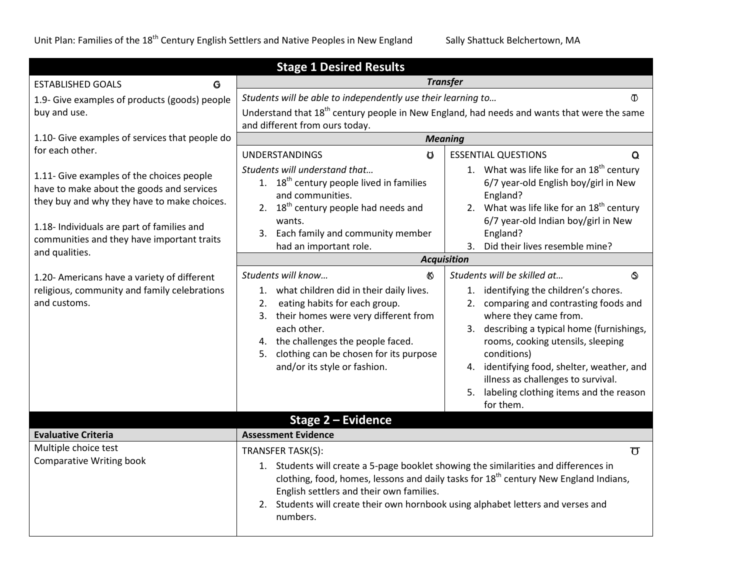| <b>Stage 1 Desired Results</b>                                                                                                                                                                                                                      |                                                                                                                                                                                                                                                                                                                                                                       |                                                                                                                                                                                                                                                                                                                                                                                                       |  |
|-----------------------------------------------------------------------------------------------------------------------------------------------------------------------------------------------------------------------------------------------------|-----------------------------------------------------------------------------------------------------------------------------------------------------------------------------------------------------------------------------------------------------------------------------------------------------------------------------------------------------------------------|-------------------------------------------------------------------------------------------------------------------------------------------------------------------------------------------------------------------------------------------------------------------------------------------------------------------------------------------------------------------------------------------------------|--|
| <b>ESTABLISHED GOALS</b><br>G                                                                                                                                                                                                                       | <b>Transfer</b>                                                                                                                                                                                                                                                                                                                                                       |                                                                                                                                                                                                                                                                                                                                                                                                       |  |
| 1.9- Give examples of products (goods) people<br>buy and use.                                                                                                                                                                                       | Students will be able to independently use their learning to<br>$\Phi$<br>Understand that 18 <sup>th</sup> century people in New England, had needs and wants that were the same<br>and different from ours today.                                                                                                                                                    |                                                                                                                                                                                                                                                                                                                                                                                                       |  |
| 1.10- Give examples of services that people do                                                                                                                                                                                                      |                                                                                                                                                                                                                                                                                                                                                                       | <b>Meaning</b>                                                                                                                                                                                                                                                                                                                                                                                        |  |
| for each other.                                                                                                                                                                                                                                     | <b>UNDERSTANDINGS</b><br>$\sigma$                                                                                                                                                                                                                                                                                                                                     | <b>ESSENTIAL QUESTIONS</b><br>Q                                                                                                                                                                                                                                                                                                                                                                       |  |
| 1.11- Give examples of the choices people<br>have to make about the goods and services<br>they buy and why they have to make choices.<br>1.18- Individuals are part of families and<br>communities and they have important traits<br>and qualities. | Students will understand that<br>1. 18 <sup>th</sup> century people lived in families<br>and communities.<br>2. 18 <sup>th</sup> century people had needs and<br>wants.<br>3. Each family and community member<br>had an important role.                                                                                                                              | 1. What was life like for an $18th$ century<br>6/7 year-old English boy/girl in New<br>England?<br>2. What was life like for an $18th$ century<br>6/7 year-old Indian boy/girl in New<br>England?<br>Did their lives resemble mine?<br>3.                                                                                                                                                             |  |
|                                                                                                                                                                                                                                                     | <b>Acquisition</b>                                                                                                                                                                                                                                                                                                                                                    |                                                                                                                                                                                                                                                                                                                                                                                                       |  |
| 1.20- Americans have a variety of different<br>religious, community and family celebrations<br>and customs.                                                                                                                                         | Students will know<br>KX.<br>1. what children did in their daily lives.<br>eating habits for each group.<br>2.<br>3. their homes were very different from<br>each other.<br>4. the challenges the people faced.<br>clothing can be chosen for its purpose<br>5.<br>and/or its style or fashion.                                                                       | Students will be skilled at<br>的<br>identifying the children's chores.<br>1.<br>comparing and contrasting foods and<br>2.<br>where they came from.<br>describing a typical home (furnishings,<br>3.<br>rooms, cooking utensils, sleeping<br>conditions)<br>identifying food, shelter, weather, and<br>4.<br>illness as challenges to survival.<br>labeling clothing items and the reason<br>for them. |  |
|                                                                                                                                                                                                                                                     | Stage 2 - Evidence                                                                                                                                                                                                                                                                                                                                                    |                                                                                                                                                                                                                                                                                                                                                                                                       |  |
| <b>Evaluative Criteria</b>                                                                                                                                                                                                                          | <b>Assessment Evidence</b>                                                                                                                                                                                                                                                                                                                                            |                                                                                                                                                                                                                                                                                                                                                                                                       |  |
| Multiple choice test<br><b>Comparative Writing book</b>                                                                                                                                                                                             | TRANSFER TASK(S):<br>$\sigma$<br>1. Students will create a 5-page booklet showing the similarities and differences in<br>clothing, food, homes, lessons and daily tasks for 18 <sup>th</sup> century New England Indians,<br>English settlers and their own families.<br>2. Students will create their own hornbook using alphabet letters and verses and<br>numbers. |                                                                                                                                                                                                                                                                                                                                                                                                       |  |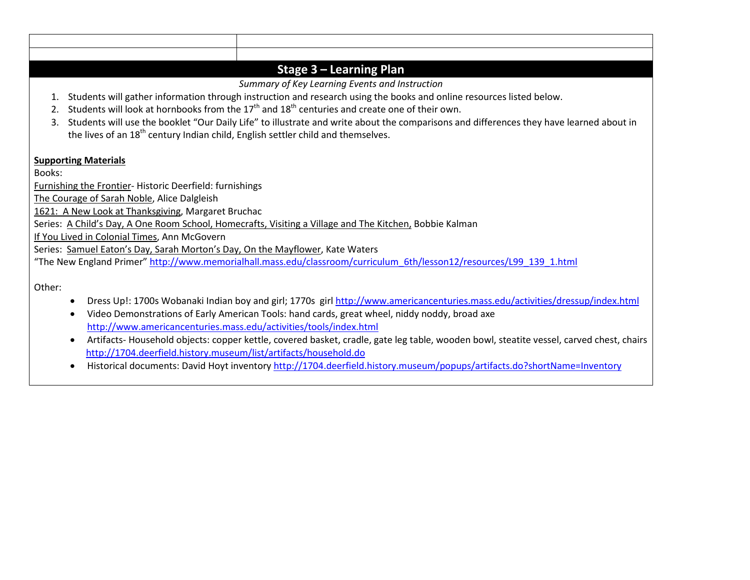|        | Stage $3$ – Learning Plan                                                                                                                  |  |
|--------|--------------------------------------------------------------------------------------------------------------------------------------------|--|
|        | Summary of Key Learning Events and Instruction                                                                                             |  |
|        | Students will gather information through instruction and research using the books and online resources listed below.                       |  |
| 2.     | Students will look at hornbooks from the $17th$ and $18th$ centuries and create one of their own.                                          |  |
| 3.     | Students will use the booklet "Our Daily Life" to illustrate and write about the comparisons and differences they have learned about in    |  |
|        | the lives of an 18 <sup>th</sup> century Indian child, English settler child and themselves.                                               |  |
|        |                                                                                                                                            |  |
|        | <b>Supporting Materials</b>                                                                                                                |  |
| Books: |                                                                                                                                            |  |
|        | Furnishing the Frontier- Historic Deerfield: furnishings                                                                                   |  |
|        | The Courage of Sarah Noble, Alice Dalgleish                                                                                                |  |
|        | 1621: A New Look at Thanksgiving, Margaret Bruchac                                                                                         |  |
|        | Series: A Child's Day, A One Room School, Homecrafts, Visiting a Village and The Kitchen, Bobbie Kalman                                    |  |
|        | If You Lived in Colonial Times, Ann McGovern                                                                                               |  |
|        | Series: Samuel Eaton's Day, Sarah Morton's Day, On the Mayflower, Kate Waters                                                              |  |
|        | "The New England Primer" http://www.memorialhall.mass.edu/classroom/curriculum 6th/lesson12/resources/L99 139 1.html                       |  |
|        |                                                                                                                                            |  |
| Other: |                                                                                                                                            |  |
|        | Dress Up!: 1700s Wobanaki Indian boy and girl; 1770s girl http://www.americancenturies.mass.edu/activities/dressup/index.html<br>$\bullet$ |  |
|        | Video Demonstrations of Early American Tools: hand cards, great wheel, niddy noddy, broad axe<br>$\bullet$                                 |  |
|        | http://www.americancenturies.mass.edu/activities/tools/index.html                                                                          |  |

- Artifacts- Household objects: copper kettle, covered basket, cradle, gate leg table, wooden bowl, steatite vessel, carved chest, chairs <http://1704.deerfield.history.museum/list/artifacts/household.do>
- Historical documents: David Hoyt inventory<http://1704.deerfield.history.museum/popups/artifacts.do?shortName=Inventory>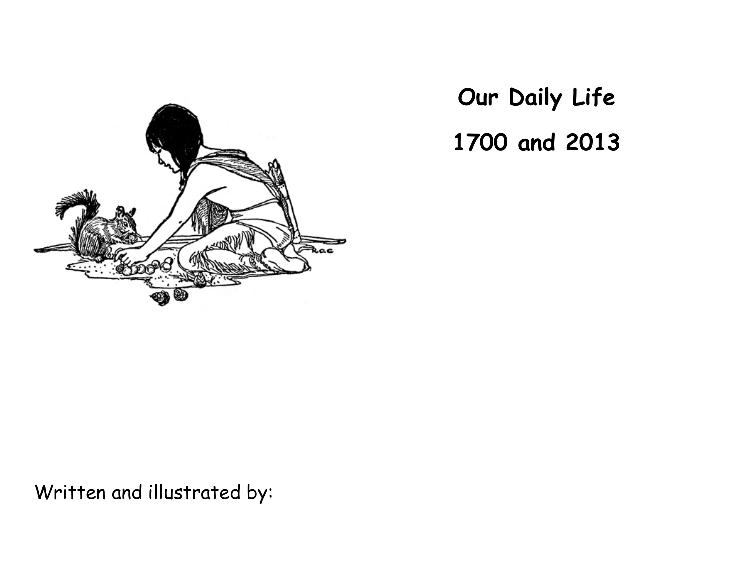

**Our Daily Life 1700 and 2013**

Written and illustrated by: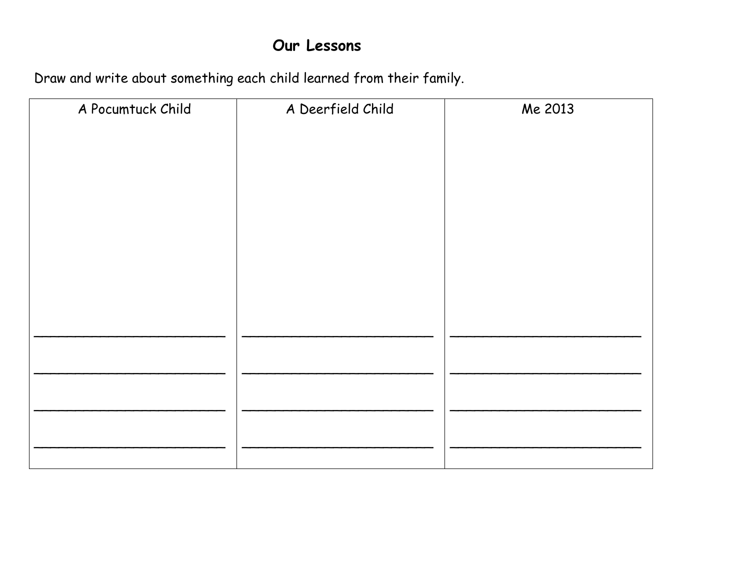### Our Lessons

Draw and write about something each child learned from their family.

| A Pocumtuck Child | A Deerfield Child | Me 2013 |
|-------------------|-------------------|---------|
|                   |                   |         |
|                   |                   |         |
|                   |                   |         |
|                   |                   |         |
|                   |                   |         |
|                   |                   |         |
|                   |                   |         |
|                   |                   |         |
|                   |                   |         |
|                   |                   |         |
|                   |                   |         |
|                   |                   |         |
|                   |                   |         |
|                   |                   |         |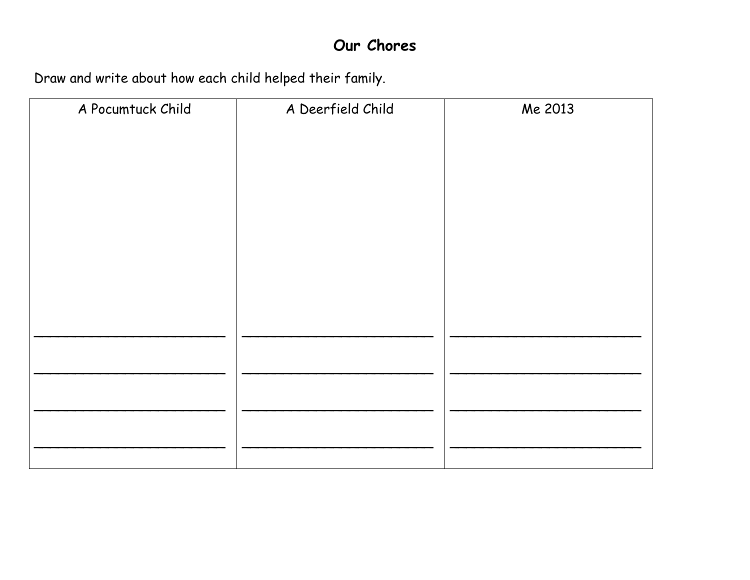### Our Chores

Draw and write about how each child helped their family.

| A Pocumtuck Child | A Deerfield Child | Me 2013 |
|-------------------|-------------------|---------|
|                   |                   |         |
|                   |                   |         |
|                   |                   |         |
|                   |                   |         |
|                   |                   |         |
|                   |                   |         |
|                   |                   |         |
|                   |                   |         |
|                   |                   |         |
|                   |                   |         |
|                   |                   |         |
|                   |                   |         |
|                   |                   |         |
|                   |                   |         |
|                   |                   |         |
|                   |                   |         |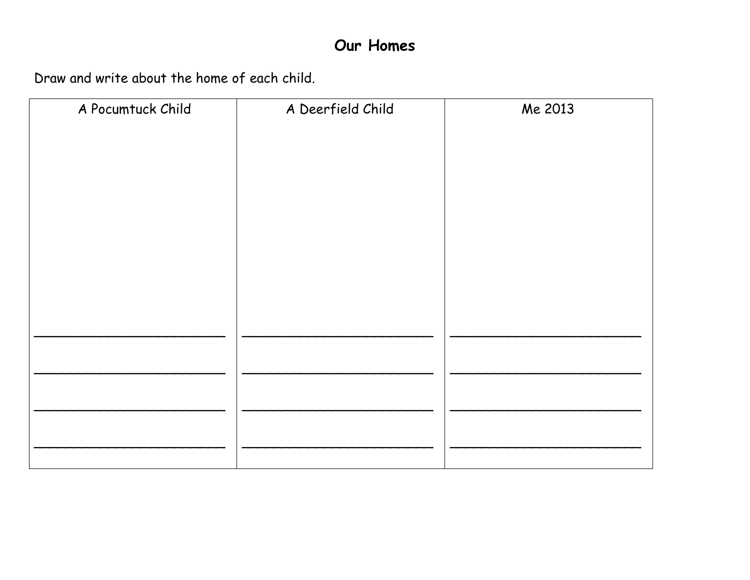### Our Homes

Draw and write about the home of each child.

| A Pocumtuck Child | A Deerfield Child | Me 2013 |
|-------------------|-------------------|---------|
|                   |                   |         |
|                   |                   |         |
|                   |                   |         |
|                   |                   |         |
|                   |                   |         |
|                   |                   |         |
|                   |                   |         |
|                   |                   |         |
|                   |                   |         |
|                   |                   |         |
|                   |                   |         |
|                   |                   |         |
|                   |                   |         |
|                   |                   |         |
|                   |                   |         |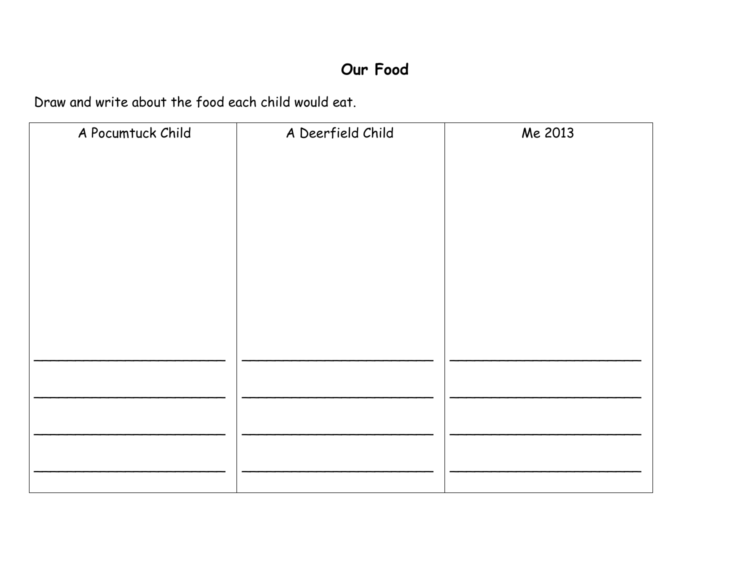## Our Food

Draw and write about the food each child would eat.

| A Pocumtuck Child | A Deerfield Child | Me 2013 |
|-------------------|-------------------|---------|
|                   |                   |         |
|                   |                   |         |
|                   |                   |         |
|                   |                   |         |
|                   |                   |         |
|                   |                   |         |
|                   |                   |         |
|                   |                   |         |
|                   |                   |         |
|                   |                   |         |
|                   |                   |         |
|                   |                   |         |
|                   |                   |         |
|                   |                   |         |